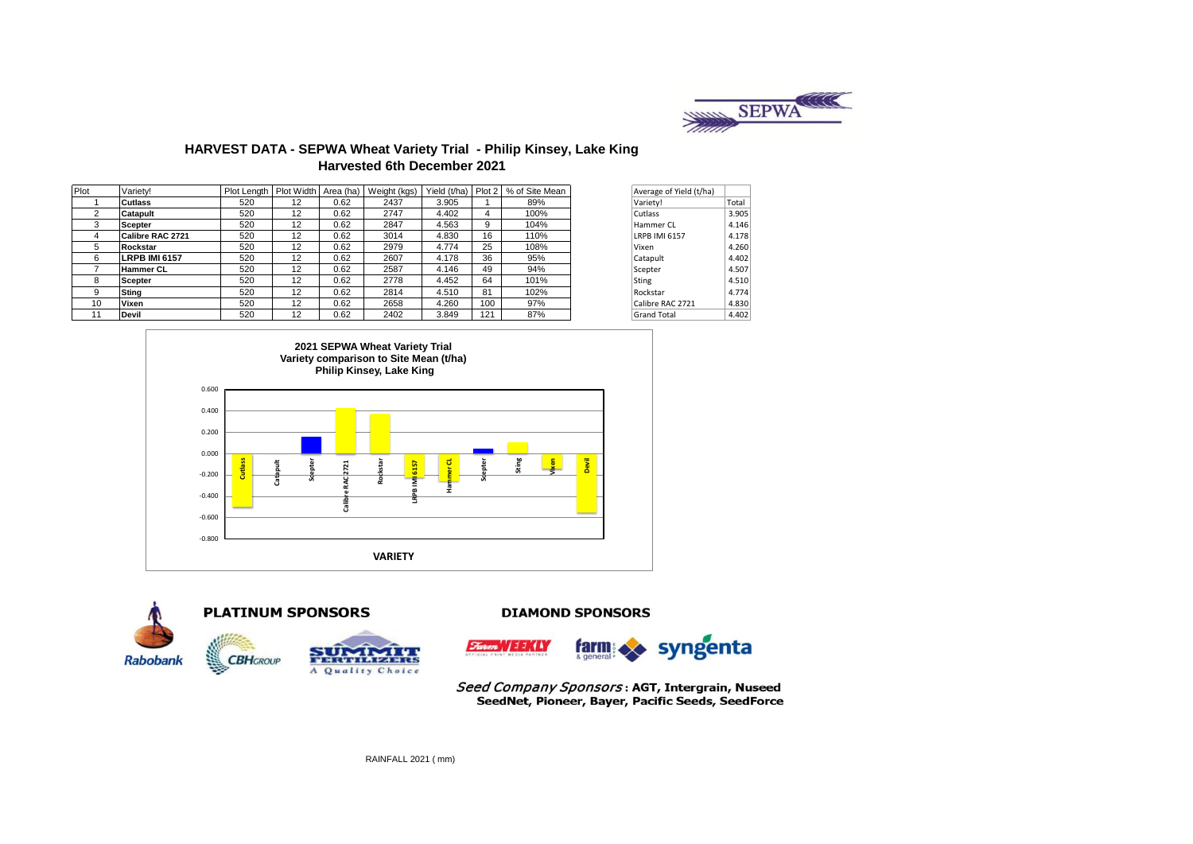

# **HARVEST DATA - SEPWA Wheat Variety Trial - Philip Kinsey, Lake King Harvested 6th December 2021**

| Plot | Varietv!             | Plot Lenath | Plot Width Area (ha) |      | Weight (kgs) | Yield (t/ha) | Plot 2 | % of Site Mean |       | Average of Yield (t/ha) |       |
|------|----------------------|-------------|----------------------|------|--------------|--------------|--------|----------------|-------|-------------------------|-------|
|      | <b>Cutlass</b>       | 520         | 12                   | 0.62 | 2437         | 3.905        |        | 89%            |       | Variety!                | Total |
|      | Catapult             | 520         | 12                   | 0.62 | 2747         | 4.402        | 4      | 100%           |       | Cutlass                 | 3.905 |
| 3    | <b>Scepter</b>       | 520         | 12                   | 0.62 | 2847         | 4.563        | 9      | 104%           |       | Hammer CL               | 4.146 |
| 4    | Calibre RAC 2721     | 520         | 12                   | 0.62 | 3014         | 4.830        | 16     | 110%           |       | <b>LRPB IMI 6157</b>    | 4.178 |
| 5    | Rockstar             | 520         | 12                   | 0.62 | 2979         | 4.774        | 25     | 108%           | Vixen |                         | 4.260 |
| 6    | <b>LRPB IMI 6157</b> | 520         | 12                   | 0.62 | 2607         | 4.178        | 36     | 95%            |       | Catapult                | 4.402 |
|      | <b>Hammer CL</b>     | 520         | 12                   | 0.62 | 2587         | 4.146        | 49     | 94%            |       | Scepter                 | 4.507 |
| 8    | Scepter              | 520         | 12                   | 0.62 | 2778         | 4.452        | 64     | 101%           | Sting |                         | 4.510 |
| 9    | <b>Sting</b>         | 520         | 12                   | 0.62 | 2814         | 4.510        | 81     | 102%           |       | Rockstar                | 4.774 |
| 10   | Vixen                | 520         | 12                   | 0.62 | 2658         | 4.260        | 100    | 97%            |       | Calibre RAC 2721        | 4.830 |
| 11   | Devil                | 520         | 12                   | 0.62 | 2402         | 3.849        | 121    | 87%            |       | <b>Grand Total</b>      | 4.402 |





Seed Company Sponsors: AGT, Intergrain, Nuseed SeedNet, Pioneer, Bayer, Pacific Seeds, SeedForce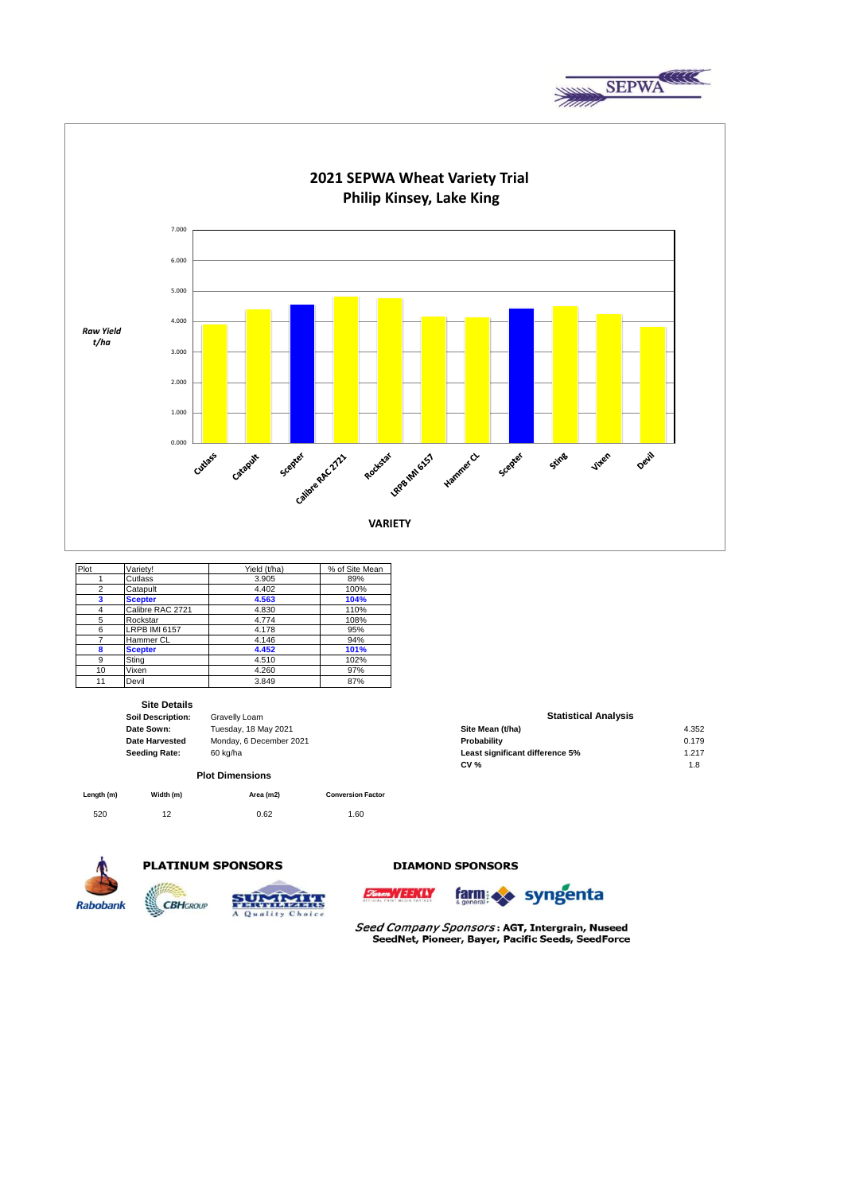



| Plot | Varietv!             | Yield (t/ha) | % of Site Mean |
|------|----------------------|--------------|----------------|
|      | Cutlass              | 3.905        | 89%            |
| 2    | Catapult             | 4.402        | 100%           |
| 3    | <b>Scepter</b>       | 4.563        | 104%           |
| 4    | Calibre RAC 2721     | 4.830        | 110%           |
| 5    | Rockstar             | 4.774        | 108%           |
| 6    | <b>LRPB IMI 6157</b> | 4.178        | 95%            |
| 7    | Hammer CL            | 4.146        | 94%            |
| 8    | <b>Scepter</b>       | 4.452        | 101%           |
| 9    | Stina                | 4.510        | 102%           |
| 10   | Vixen                | 4.260        | 97%            |
| 11   | Devil                | 3.849        | 87%            |

## **Site Details**

| Soil Description:     |  |
|-----------------------|--|
| Date Sown:            |  |
| <b>Date Harvested</b> |  |
| <b>Seeding Rate:</b>  |  |

# **Monday, 6 December 2021<br>60 kg/ha Plot Dimensions**

**Gravelly Loam Date Sown:** Tuesday, 18 May 2021 **Site Mean (t/ha)** 4.352

| Length (m) | Width (m) | Area (m2) | <b>Conversion Factor</b> |
|------------|-----------|-----------|--------------------------|
| 520        | 12        | 0.62      | 1.60                     |



# **PLATINUM SPONSORS**





### **DIAMOND SPONSORS**





Seed Company Sponsors: AGT, Intergrain, Nuseed SeedNet, Pioneer, Bayer, Pacific Seeds, SeedForce

#### **Statistical Analysis**

| Tuesdav. 18 Mav 2021    | Site Mean (t/ha)                | 4.352 |
|-------------------------|---------------------------------|-------|
| Monday, 6 December 2021 | <b>Probability</b>              | 0.179 |
| 60 ka/ha                | Least significant difference 5% | 1.217 |
|                         | CV %                            | 1.8   |
|                         |                                 |       |